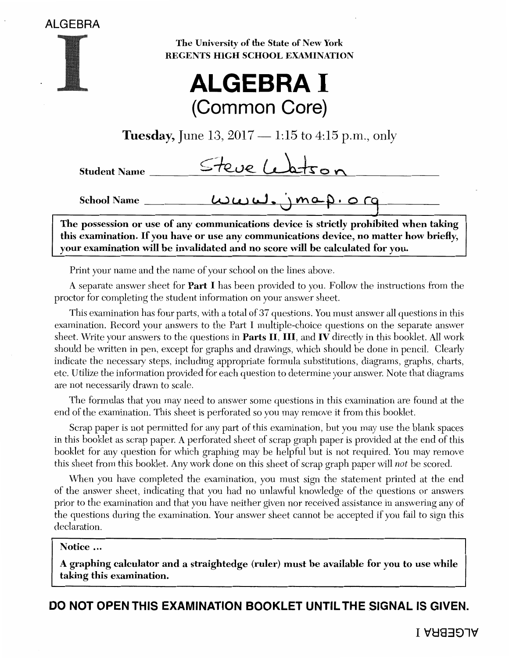

School Name

The University of the State of New York REGENTS HIGH SCHOOL EXAMINATION



**Tuesday,** June 13,  $2017 - 1:15$  to  $4:15$  p.m., only

| <b>Student Name</b> | Steve Leatson |  |  |
|---------------------|---------------|--|--|
|                     |               |  |  |

The possession or use of any communications device is strictly prohibited when taking this examination. If you have or use any communications device, no matter how briefly, your examination will be invalidated and no score will be calculated for you.

 $u_{u}u_{u}, \gamma_{m+1} \circ \gamma_{0}$ 

Print your name and the name of your school on the lines above.

A separate answer sheet for Part I has been provided to you. Follow the instructions from the proctor for completing the student information on your answer sheet.

This examination has four parts, with a total of 37 questions. You must answer all questions in this examination. Record your answers to the Part I multiple-choice questions on the separate answer sheet. Write your answers to the questions in Parts II, III, and IV directly in this booklet. All work should be written in pen, except for graphs and drawings, which should be done in pencil. Clearly indicate the necessary steps, including appropriate formula substitutions, diagrams, graphs, charts, etc. Utilize the information provided for each question to determine your answer. Note that diagrams are not necessarily drawn to scale.

The formulas that you may need to answer some questions in this examination are found at the end of the examination. This sheet is perforated so you may remove it from this booklet.

Scrap paper is not permitted for any part of this examination, but you may use the blank spaces in this booklet as scrap paper. A perforated sheet of scrap graph paper is provided at the end of this booklet for any question for which graphing may be helpful but is not required. You may remove this sheet from this booklet. Any work done on this sheet of scrap graph paper will *not* be scored.

When you have completed the examination, you must sign the statement printed at the end of the answer sheet, indicating that you had no unlawful knowledge of the questions or answers prior to the examination and that you have neither given nor received assistance in answering any of the questions during the examination. Your answer sheet cannot be accepted if you fail to sign this declaration.

## Notice ...

A graphing calculator and a straightedge (ruler) must be available for you to use while taking this examination.

**DO NOT OPEN THIS EXAMINATION BOOKLET UNTIL THE SIGNAL IS GIVEN.**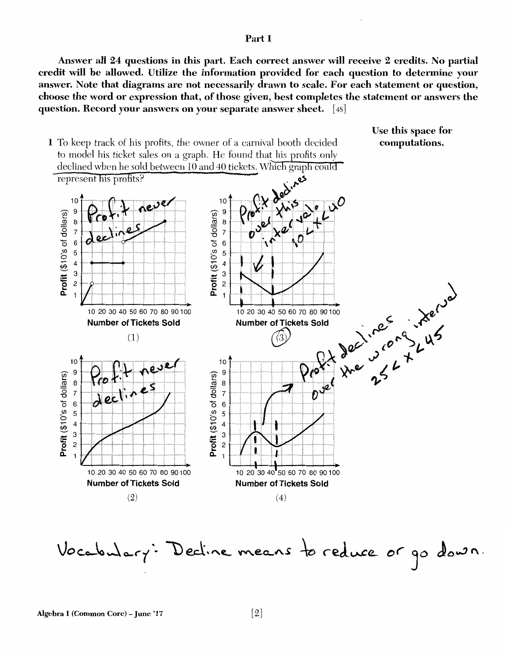#### Part I

Answer all 24 questions in this part. Each correct answer will receive 2 credits. No partial credit will be allowed. Utilize the information provided for each question to determine your answer. Note that diagrams are not necessarily drawn to scale. For each statement or question, choose the word or expression that, of those given, best completes the statement or answers the question. Record your answers on your separate answer sheet. [48]





Algebra I (Common Core) - June '17

[2]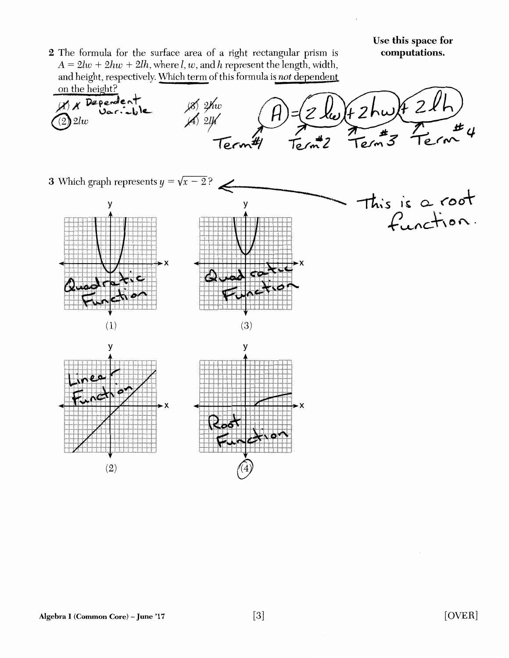This is a root

function.

2 The formula for the surface area of a right rectangular prism is  $A = 2lw + 2hw + 2lh$ , where *l, w*, and *h* represent the length, width, and height, respectively. Which term of this formula is not dependent

*2n* the height? (8) 2Kw<br>A 2lf *H* X Dependent<br>(2) 2lw  $\int_{\mathcal{W}} f(x) dx$  $#$   $\mu$ Ter To,

~-----------~

**3** Which graph represents  $y = \sqrt{x-2}$ ?







y y ٠¥

Algebra I (Common Core) - June '17 [3]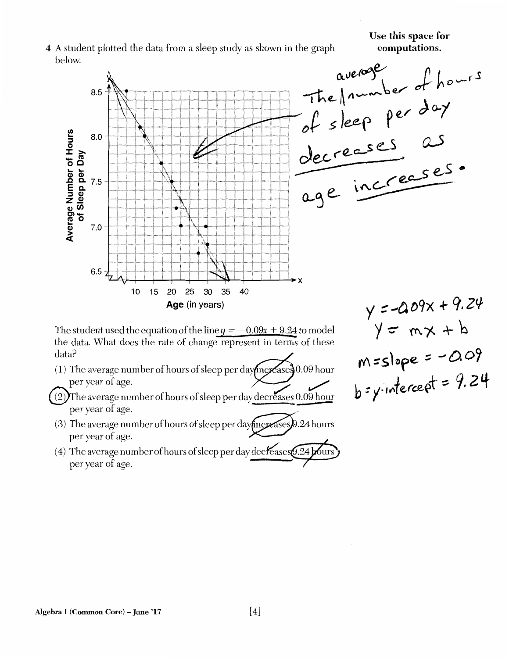Use **this** space **for** 

## 4 A student plotted the data from a sleep study as shown in the graph below.



The student used the equation of the line  $y = -0.09x + 9.24$  to model the data. What does the rate of change represent in terms of these data? The student used the equation of the line  $y = -0.09x + 9.24$  to model<br>the data. What does the rate of change represent in terms of these<br>data?<br>(1) The average number of hours of sleep per day more ases 0.09 hour

- per year of age.
- $(2)$ The average number of hours of sleep per day decreases 0.09 hour per year of age.
- (3) The average number of hours of sleep per day fincreases  $\theta$ .24 hours per year of age. Mincreases). 24 hours
- (4) The average number of hours of sleep per day decreases  $9.24$  bours  $\bm{j}$ per year of age.<br>The average number of hours of sleep per day decreases 5.24 bours

 $y = mx + b$ M~slore::: *-o.o?*   $h = y$  intercept = 9.24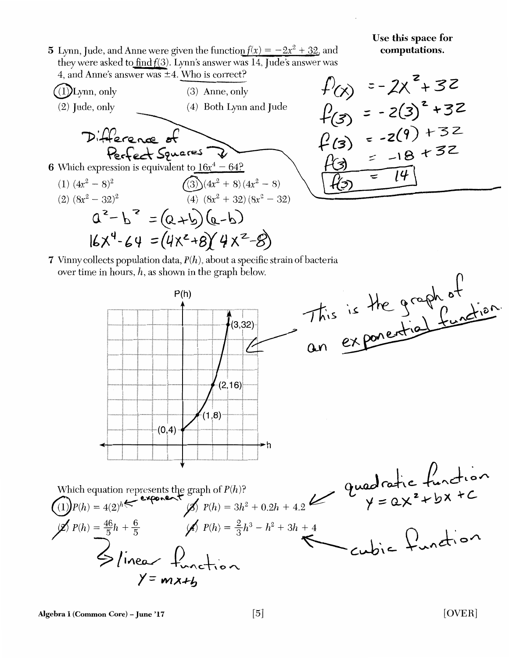5 Lynn, Jude, and Anne were given the function  $f(x) = -2x^2 + 32$ , and they were asked to  $\frac{\text{find}}{\text{f}(3)}$ . Lynn's answer was 14, Jude's answer was 4, and Anne's answer was ±4. Who is correct?



$$
f(x) = -2x^{2}+32
$$
  
\n $f(3) = -2(3)^{2}+32$   
\n $f(3) = -2(9)+32$   
\n $f(3) = -18+32$   
\n $f(3) = -18+32$   
\n $f(3) = 14$ 

7 Vinny collects population data,  $P(h)$ , about a specific strain of bacteria over time in hours, *h,* as shown in the graph below.



Algebra I (Common Core) – June '17  $[5]$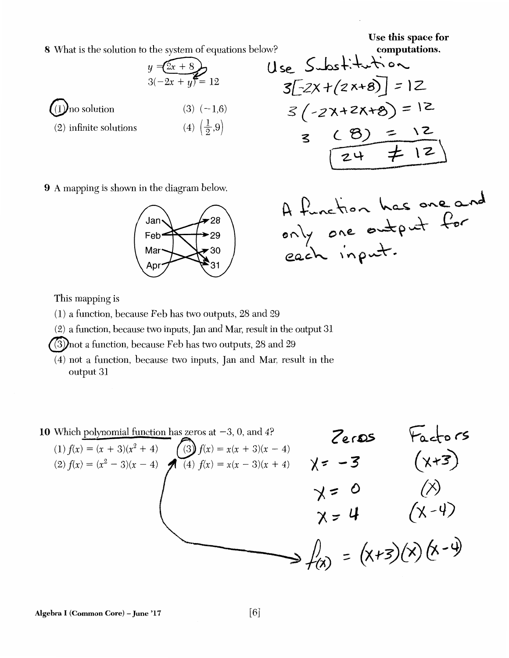Use **this** space **for** 

8 What is the solution to the system of equations below?



Use this space for  
\nthe system of equations below?  
\n
$$
y = (2x+8)
$$
  
\n $3(-2x+y) = 12$   
\n $(3)(-1,6)$   
\n $(4)(\frac{1}{2},9)$   
\n $(4)(\frac{1}{2},9)$   
\n $(5)(-2)(1+2)(1+8)$   
\n $(4)(\frac{1}{2},9)$   
\n $(4)(\frac{1}{2},9)$   
\n $(4)(\frac{1}{2},9)$   
\n $(4)(\frac{1}{2},9)$   
\n $(4)(\frac{1}{2},9)$   
\n $(4)(\frac{1}{2},9)$   
\n $(4)(\frac{1}{2},9)$   
\n $(4)(\frac{1}{2},9)$   
\n $(4)(\frac{1}{2},9)$   
\n $(2+\frac{1}{2},12)$ 

9 A mapping is shown in the diagram below.



A function has one and<br>only one entert for

This mapping is

(1) a function, because Feb has two outputs, 28 and 29

(2) a function, because two inputs, Jan and Mar, result in the output 31

(3) not a function, because Feb has two outputs, 28 and 29

(4) not a function, because two inputs, Jan and Mar, result in the output 31

10 Which polynomial function has zeros at -3, 0, and 4?  
\n(1) 
$$
f(x) = (x + 3)(x^2 + 4)
$$
  
\n(2)  $f(x) = (x^2 - 3)(x - 4)$   
\n(3)  $f(x) = x(x + 3)(x - 4)$   
\n(4)  $f(x) = x(x - 3)(x + 4)$   
\n(5)  $f(x) = x(x - 3)(x + 4)$   
\n(6)  $f(x) = x(x - 3)(x + 4)$   
\n(7)  $f(x) = x(x - 3)(x + 4)$   
\n(8)  $f(x) = x(x - 3)(x + 4)$   
\n(9)  $f(x) = x(x - 3)(x + 4)$   
\n(1)  $f(x) = (x^2 - 3)(x - 4)$   
\n(4)  $f(x) = x(x - 3)(x + 4)$   
\n(5)  $f(x) = x(x - 3)(x + 4)$   
\n(6)  $f(x) = x(x - 3)(x + 4)$   
\n(7)  $f(x) = x(x - 3)(x + 4)$   
\n(8)  $f(x) = x(x - 3)(x + 4)$   
\n(9)  $f(x) = x(x - 3)(x + 4)$   
\n(1)  $f(x) = (x^2 - 3)(x^2 + 4)$   
\n(4)  $f(x) = x(x - 3)(x + 4)$   
\n(5)  $f(x) = x(x - 3)(x + 4)$   
\n(6)  $f(x) = x(x + 3)(x - 4)$   
\n(7)  $f(x) = x(x - 3)(x + 4)$   
\n(8)  $f(x) = x(x - 3)(x + 4)$   
\n(9)  $f(x) = x(x - 3)(x + 4)$   
\n(10)  $f(x) = x(x + 3)(x - 4)$   
\n(20)  $f(x) = x(x - 3)(x + 4)$   
\n(3)  $f(x) = x(x - 3)(x + 4)$   
\n(4)  $f(x) = x(x - 3)(x + 4)$   
\n(5)  $f(x) = x(x + 3)(x - 4)$   
\n(6)  $f(x) = x(x + 3)(x - 4)$   
\n(7)  $f(x$ 

Algebra I (Common Core) - June '17 [6]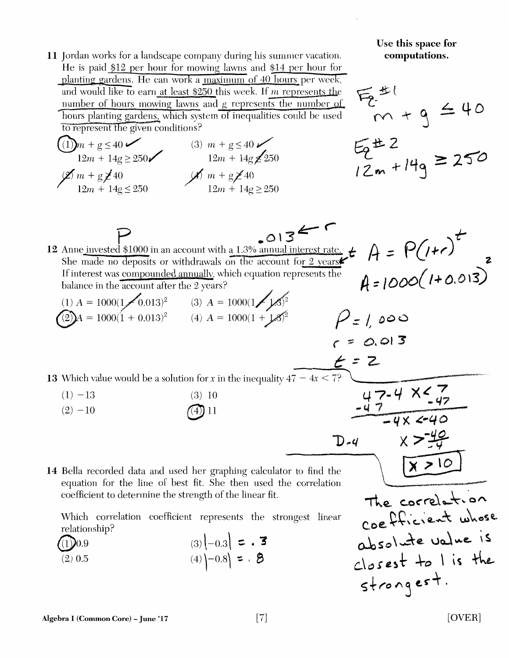Use **this** space **for 11** Jordan works for a landscape company during his summer vacation. **computations.**  He is paid  $$12$  per hour for mowing lawns and  $$14$  per hour for planting gardens. He can work a maximum of 40 hours per week, 后出 and would like to earn at least  $$250$  this week. If m represents the number of hours mowing lawns and g represents the number of  $m + g \leq 40$ hours planting gardens, which system of inequalities could be used  $52 + 2$ <br>12m + 14g = 250 to represent the given conditions?  $\text{(1)}$ *m* + g  $\leq$  40  $\checkmark$  (3) *m* + g  $\leq$  40  $\checkmark$  $12m + 14g \ge 250$   $12m + 14g \ge 250$  $\cancel{2}m + g\cancel{2}40$   $\cancel{4}m + g\cancel{2}40$  $12m + 14g \le 250$   $12m + 14g \ge 250$  $P$  .013 $\leftarrow$  r  $\sim$   $\leftarrow$   $^{t}$ 12 Anne invested \$1000 in an account with a 1.3% annual interest rate.  $\frac{1}{4}$   $\hat{p} = \hat{p}(1+\epsilon)$ She made no deposits or withdrawals on the account for 2 years.<br>If interest was compounded annually, which equation represents the  $\Lambda = I \cap \Omega \left( I + 0.013 \right)$ balance in the account after the 2 vears? *:* / *DV'-"'* ' - / ~' (1)  $A = 1000(1 - 0.013)^2$ <br>
(2)  $A = 1000(1 + 0.013)^2$ <br>
(3)  $A = 1000(1 - 1.8)^2$ <br>
(4)  $A = 1000(1 + 1.8)^2$ <br>
(4)  $A = 1000(1 + 1.8)^2$  $r = 0.013$ 13 Which value would be a solution for *x* in the inequality  $47 - 4x < 7$ ? c.<br>
<u>-47 -4 x < 47</u><br>
-4x < 40  $(1) -13$ (3) 10  $(4)$  11  $(2) -10$  $D-4$   $X > \frac{49}{4}$ <br>find the  $X > 10$  $D - 4$  $x > 10$ 14 Bella recorded data and used her graphing calculator to equation for the line of best fit. She then used the correlation  $The core between two$ coefficient to determine the strength of the linear fit. coefficient whose Which correlation coefficient represents the strongest linear relationship? absolute value is  $(3) \left[-0.3\right] = .$  **3**  $(1)$ ) $0.9$  $close+$   $+$ <sub>o</sub>  $\iota$  is  $the$  $(4)$   $-0.8$  =  $.8$ (2) 0.5  $strong est.$ 

[OVER]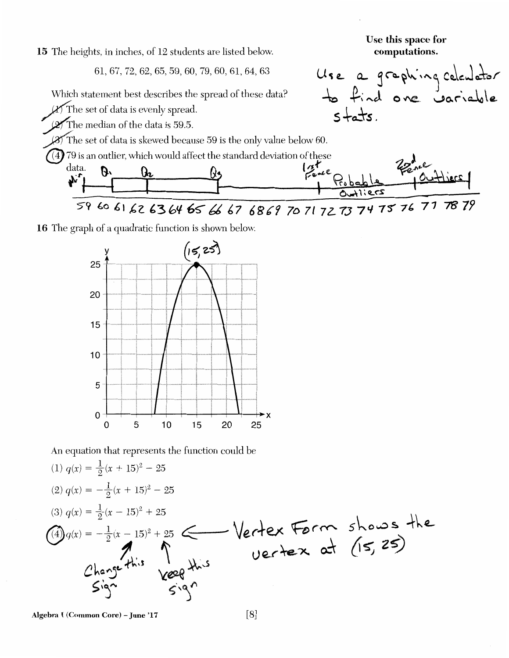15 The heights, in inches, of 12 students are listed below.

61,67, 72,62,65,59,60, 79,60,61,64,63



16 The graph of a quadratic function is shown below.



An equation that represents the function could be

(1) 
$$
q(x) = \frac{1}{2}(x + 15)^2 - 25
$$
  
\n(2)  $q(x) = -\frac{1}{2}(x + 15)^2 - 25$   
\n(3)  $q(x) = \frac{1}{2}(x - 15)^2 + 25$   
\n(4)  $q(x) = -\frac{1}{2}(x - 15)^2 + 25$   
\n(5)  $q(x) = \frac{1}{2}(x - 15)^2 + 25$   
\n(6)  $q(x) = \frac{1}{2}(x - 15)^2 + 25$   
\n(7)  $q(x) = \frac{1}{2}(x - 15)^2 + 25$   
\n(8)  $q(x) = \frac{1}{2}(x - 15)^2 + 25$   
\n(9)  $q(x) = \frac{1}{2}(x - 15)^2 + 25$   
\n(15, 25)

Algebra I (Common Core) - June '17 [8]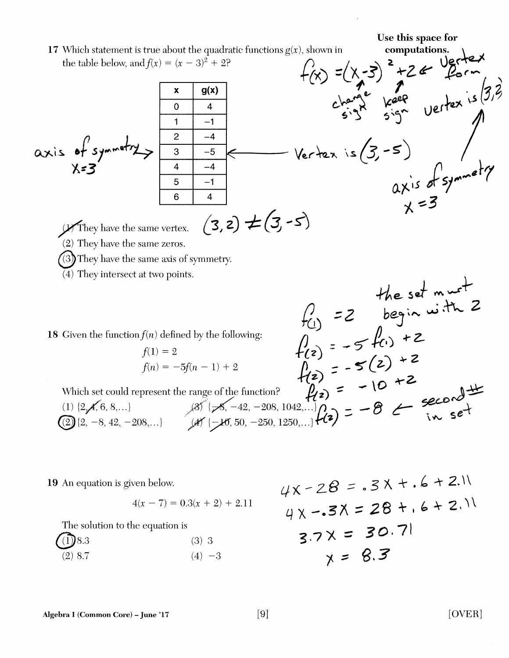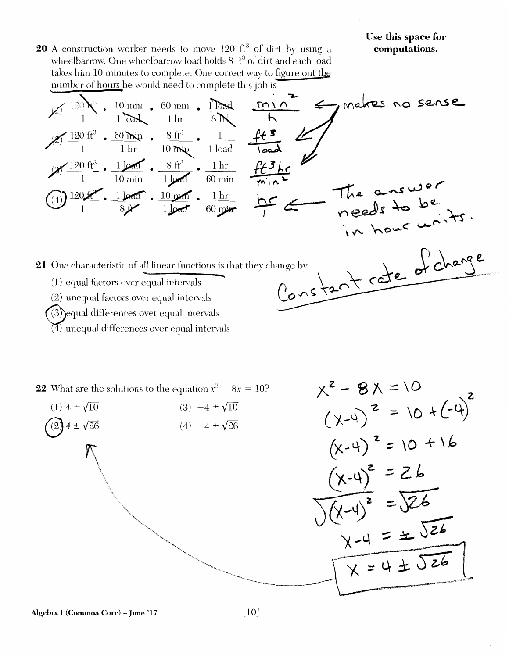$x^2 - 8x = 10$ 

 $\overline{\phantom{a}}$ 

20 A construction worker needs to move 120 ft<sup>3</sup> of dirt by using a wheelbarrow. One wheelbarrow load holds 8 ft<sup>3</sup> of dirt and each load takes him 10 minutes to complete. One correct way to figure out the number of hours he would need to complete this job is

1.Y( \_l\_l~ • 10 min • 60 min • ~ */ii* l l~ lhr S~ (~ 120 fr3 • 60~ • 8 ft'3 • \_\_ l \_\_ */£..!* . 1 1 hr 10 ~ 1 load ,,9(-120 ft1 • ikef . 8 ft 3 • \_lk\_ 1 10 min l~ 60min @)~· l~. lOJ.P!fi'. \_l\_hf\_\_ 1 sy l~ 60~ 21 One chara~teristic of all linear functions is that they change by \_ \ \_ e\_. *S* &.-~--- ( 1) equal factors over equal intervals C. \ ('"\- *<:* cJ (2) unequal factors over equal intervals 0 .('\ **c;. 0-**

- $(3)$ equal differences over equal intervals
- $(4)$  unequal differences over equal intervals

22 What are the solutions to the equation  $x^2 - 8x = 10$ ?

$$
(1) 4 \pm \sqrt{10}
$$
\n
$$
(2) 4 \pm \sqrt{26}
$$
\n
$$
(3) -4 \pm \sqrt{10}
$$
\n
$$
(4) -4 \pm \sqrt{26}
$$
\n
$$
(4) -4 \pm \sqrt{26}
$$
\n
$$
(4) -4 \pm \sqrt{26}
$$
\n
$$
(4) -4 \pm \sqrt{26}
$$
\n
$$
(4) -4 \pm \sqrt{26}
$$
\n
$$
(4) -4 \pm \sqrt{26}
$$
\n
$$
(4) -4 \pm \sqrt{26}
$$
\n
$$
(4) -4 \pm \sqrt{26}
$$
\n
$$
(4) -4 \pm \sqrt{26}
$$
\n
$$
(4) -4 \pm \sqrt{26}
$$
\n
$$
(4) -4 \pm \sqrt{26}
$$
\n
$$
(4) -4 \pm \sqrt{26}
$$
\n
$$
(4) -4 \pm \sqrt{26}
$$
\n
$$
(4) -4 \pm \sqrt{26}
$$
\n
$$
(4) -4 \pm \sqrt{26}
$$
\n
$$
(4) -4 \pm \sqrt{26}
$$
\n
$$
(4) -4 \pm \sqrt{26}
$$
\n
$$
(4) -4 \pm \sqrt{26}
$$
\n
$$
(4) -4 \pm \sqrt{26}
$$
\n
$$
(4) -4 \pm \sqrt{26}
$$
\n
$$
(4) -4 \pm \sqrt{26}
$$
\n
$$
(4) -4 \pm \sqrt{26}
$$
\n
$$
(4) -4 \pm \sqrt{26}
$$
\n
$$
(4) -4 \pm \sqrt{26}
$$
\n
$$
(4) -4 \pm \sqrt{26}
$$
\n
$$
(4) -4 \pm \sqrt{26}
$$
\n
$$
(4) -4 \pm \sqrt{26}
$$
\n
$$
(4) -4 \pm \sqrt{26}
$$
\n
$$
(4) -4 \pm \sqrt{26}
$$
\n
$$
(4) -4 \pm \sqrt{26}
$$
\n
$$
(4) -4 \pm \sqrt{26}
$$
\n
$$
(4) -4 \pm \sqrt{26}
$$
\n
$$
(4) -4 \pm \sqrt{26}
$$
\n
$$
(4) -
$$

Algebra I (Common Core) - June '17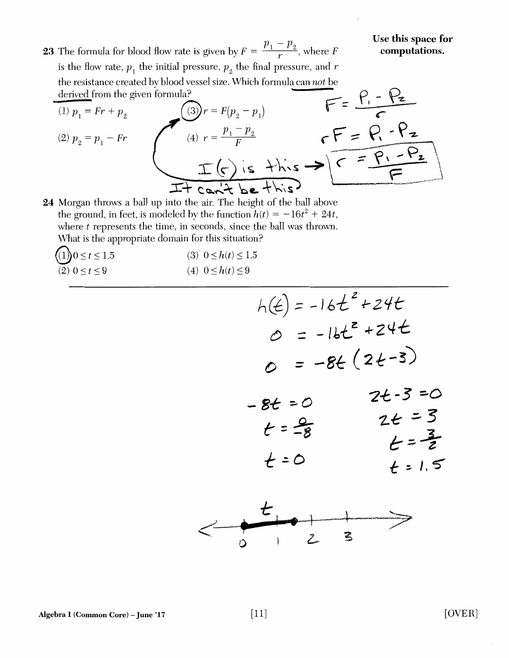**23** The formula for blood flow rate is given by  $F = \frac{p_1 - p_2}{r}$ , where F is the flow rate,  $p_{_1}$  the initial pressure,  $p_{_2}$  the final pressure, and  $r$ the resistance created by blood vessel size. Which formula can *not* be derived from the given formula?

(a) 
$$
p_1 = Fr + p_2
$$
  
\n(b)  $p_1 = Fr + p_2$   
\n(c)  $p_2 = p_1 - Fr$   
\n(d)  $r = \frac{p_1 - p_2}{F}$   
\n(e)  $r = \frac{p_1 - p_2}{F}$   
\n(f)  $r = \frac{P_1 - P_2}{F}$   
\n $\frac{r}{F} = \frac{P_1 - P_2}{F}$ 

24 Morgan throws a ball up into the air. The height of the ball above the ground, in feet, is modeled by the function  $h(t) = -16t^2 + 24t$ , where  $t$  represents the time, in seconds, since the ball was thrown. What is the appropriate domain for this situation?

| $(1)$ 0 $\leq t \leq 1.5$ | (3) $0 \leq h(t) \leq 1.5$ |
|---------------------------|----------------------------|
| $(2)$ $0 \le t \le 9$     | (4) $0 \le h(t) \le 9$     |

$$
h(t) = -16t^{2} + 24t
$$
\n
$$
0 = -8t (2t-3)
$$
\n
$$
-8t = 0
$$
\n
$$
t = \frac{9}{8} \qquad 2t - 3 = 0
$$
\n
$$
t = \frac{9}{8} \qquad t = \frac{3}{8}
$$
\n
$$
t = 0 \qquad t = 1.5
$$

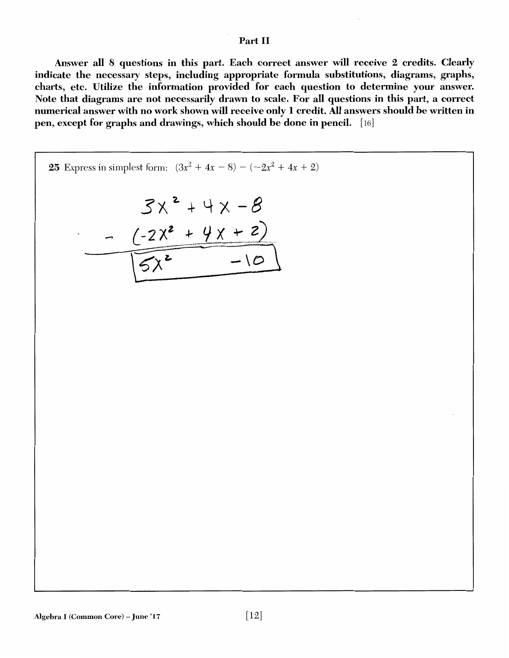## Part II

Answer all 8 questions in this part. Each correct answer will receive 2 credits. Clearly indicate the necessary steps, including appropriate formula substitutions, diagrams, graphs, charts, etc. Utilize the information provided for each question to determine your answer. Note that diagrams are not necessarily drawn to scale. For all questions in this part, a correct numerical answer with no work shown will receive only 1 credit. All answers should be written in pen, except for graphs and drawings, which should be done in pencil. [16]

25 Express in simplest form: 
$$
(3x^2 + 4x - 8) - (-2x^2 + 4x + 2)
$$
  
\n
$$
3x^2 + 4x - 8
$$
\n
$$
-2x^2 + 4x + 2
$$
\n
$$
5x^2 - 10
$$

г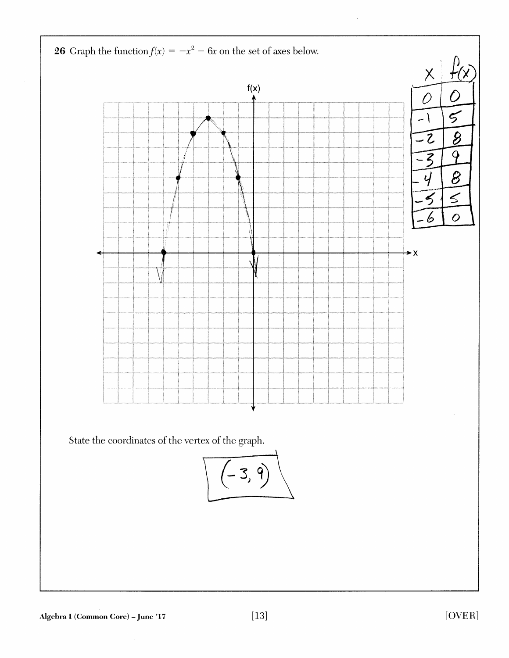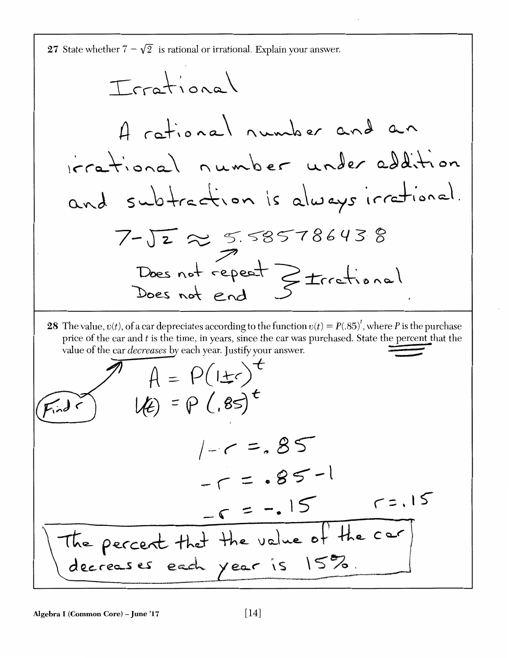27 State whether 
$$
7-\sqrt{2}
$$
 is rational or irrational. Explain your answer.  
\n $\pi r a + i o n a$   
\n $\pi r a + i o n a$   
\n $\pi r a + i o n a$   
\n $\pi r a + i o n a$   
\n $\pi r a + i o n a$   
\n $\pi r a + i o n a$   
\n $\pi r a + i o n a$   
\n $\pi r a + i o n a$   
\n $\pi r a + i o n a$   
\n $\pi r a + i o n a$   
\n $\pi r a + i o n a$   
\n $\pi r a + i o n a$   
\n $\pi r a + i o n a$   
\n $\pi r a + i o n a$   
\n $\pi r a + i o n a$   
\n $\pi r a + i o n a$   
\n $\pi r a + i o n a$   
\n $\pi r a + i o n a$   
\n $\pi r a + i o n a$   
\n $\pi r a + i o n a$   
\n $\pi r a + i o n a$   
\n $\pi r a + i o n a$   
\n $\pi r a + i o n a$   
\n $\pi r a + i o n a$   
\n $\pi r a + i o n a$   
\n $\pi r a + i o n a$   
\n $\pi r a + i o n a$   
\n $\pi r a + i o n a$   
\n $\pi r a + i o n a$   
\n $\pi r a + i o n a$   
\n $\pi r a + i o n a$   
\n $\pi r a + i o n a$   
\n $\pi r a + i o n a$   
\n $\pi r a + i o n a$   
\n $\pi r a + i o n a$   
\n $\pi r a + i o n a$   
\n $\pi r a + i o n a$   
\n $\pi r a + i o n a$   
\n $\pi r a + i o n a$   
\n $\pi r a + i o n a$   
\n $\pi r a + i o n a$   
\n $\pi r a + i o n a$   
\n $\pi r a + i o n a$   
\n $\pi r a +$ 

Algebra I (Common Core) – June '17  $[14]$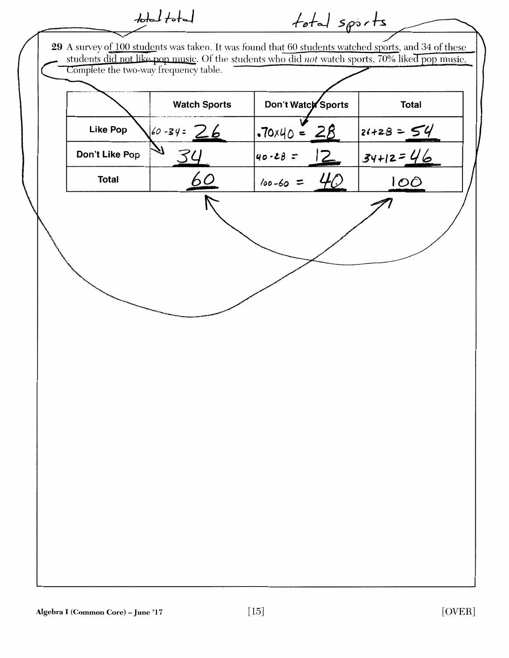|                                       | $\frac{1}{\sqrt{1-\frac{1}{2}}}$ | total sports         |                                                                                                                                                                                                         |
|---------------------------------------|----------------------------------|----------------------|---------------------------------------------------------------------------------------------------------------------------------------------------------------------------------------------------------|
| Complete the two-way frequency table. |                                  |                      | 29 A survey of 100 students was taken. It was found that 60 students watched sports, and 34 of these<br>students did not like pop music. Of the students who did not watch sports, 70% liked pop music. |
|                                       | <b>Watch Sports</b>              | Don't Watch Sports   | <b>Total</b>                                                                                                                                                                                            |
| <b>Like Pop</b>                       | $60 - 34 = 26$                   | $.70 \times 40 = 28$ | $24+28=54$                                                                                                                                                                                              |
| Don't Like Pop                        |                                  | 12<br>$40 - 28 =$    | $34+12=46$                                                                                                                                                                                              |
| <b>Total</b>                          | 60                               | $100 - 60 =$         | 100                                                                                                                                                                                                     |
|                                       |                                  |                      |                                                                                                                                                                                                         |
|                                       |                                  |                      |                                                                                                                                                                                                         |
|                                       |                                  |                      |                                                                                                                                                                                                         |
|                                       |                                  |                      |                                                                                                                                                                                                         |
|                                       |                                  |                      |                                                                                                                                                                                                         |
|                                       |                                  |                      |                                                                                                                                                                                                         |
|                                       |                                  |                      |                                                                                                                                                                                                         |
|                                       |                                  |                      |                                                                                                                                                                                                         |
|                                       |                                  |                      |                                                                                                                                                                                                         |
|                                       |                                  |                      |                                                                                                                                                                                                         |
|                                       |                                  |                      |                                                                                                                                                                                                         |
|                                       |                                  |                      |                                                                                                                                                                                                         |
|                                       |                                  |                      |                                                                                                                                                                                                         |
|                                       |                                  |                      |                                                                                                                                                                                                         |
|                                       |                                  |                      |                                                                                                                                                                                                         |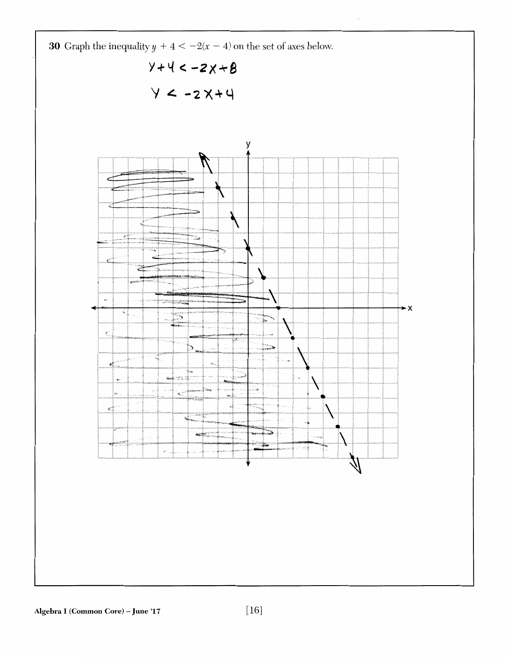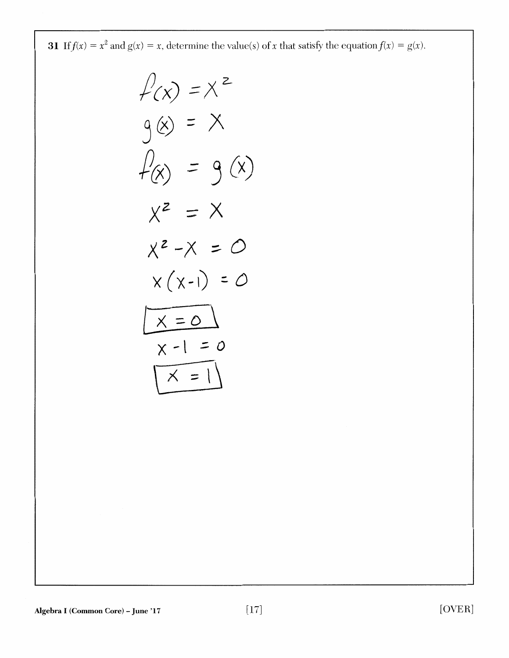**31** If  $f(x) = x^2$  and  $g(x) = x$ , determine the value(s) of x that satisfy the equation  $f(x) = g(x)$ .

$$
\begin{aligned}\n\mathcal{L}(x) &= X^2 \\
\mathcal{L}(x) &= X^2 \\
\mathcal{L}(x) &= 9(x) \\
\mathcal{L}(x) &= 9(x) \\
\mathcal{L}^2 - x &= 0 \\
x^2 - x &= 0 \\
\mathcal{L}(x-1) &= 0 \\
\mathcal{L}(x-1) &= 0 \\
\mathcal{L}(x-1) &= 0 \\
\mathcal{L}(x-1) &= 0\n\end{aligned}
$$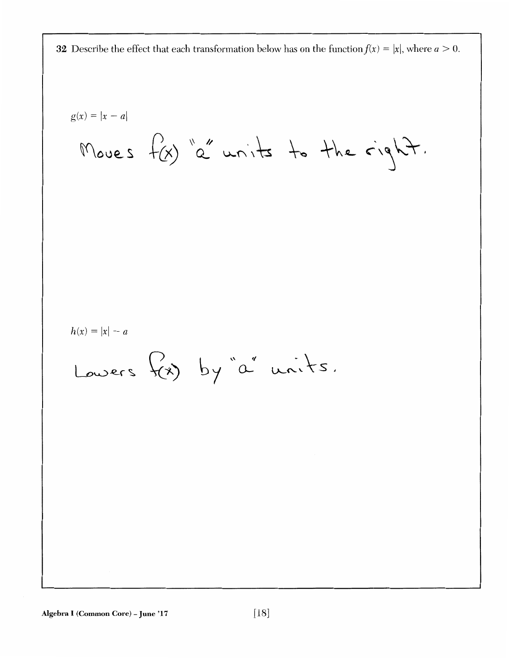**32** Describe the effect that each transformation below has on the function  $f(x) = |x|$ , where  $a > 0$ .

g(x) = |x - a|  
\nMoves 
$$
f(x)
$$
 'a' units to the right.  
\nh(x) = |x| - a  
\nLower's  $f(x)$  by 'a' units.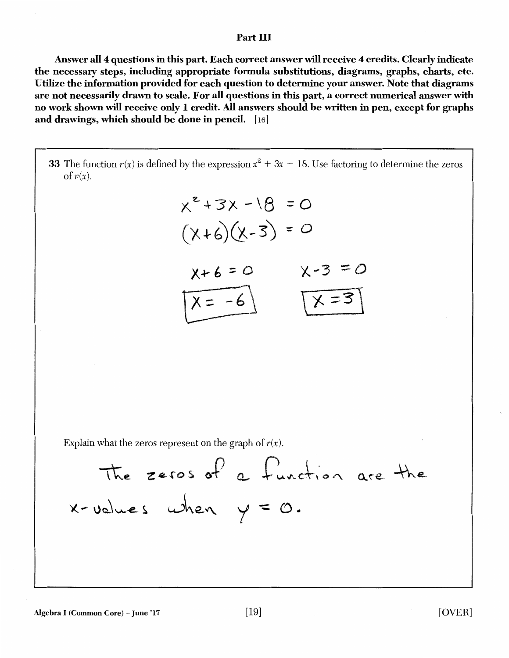#### Part III

Answer all 4 questions in this part. Each correct answer will receive 4 credits. Clearly indicate the necessary steps, including appropriate formula substitutions, diagrams, graphs, charts, etc. Utilize the information provided for each question to determine your answer. Note that diagrams are not necessarily drawn to scale. For all questions in this part, a correct numerical answer with no work shown will receive only I credit. All answers should be written in pen, except for graphs and drawings, which should be done in pencil. [16]

33 The function  $r(x)$  is defined by the expression  $x^2 + 3x - 18$ . Use factoring to determine the zeros of  $r(x)$ .  $x^{2}+3x-18=0$  $(\chi + 6)(\chi - 3) = 0$  $X+6 = 0$   $X-3 = 0$  $\overline{\chi}$  = -6 Explain what the zeros represent on the graph of  $r(x)$ . The zeros of a function are the  $x$ -volues when  $y = 0$ . Algebra I (Common Core) – June '17  $[19]$   $[OWER]$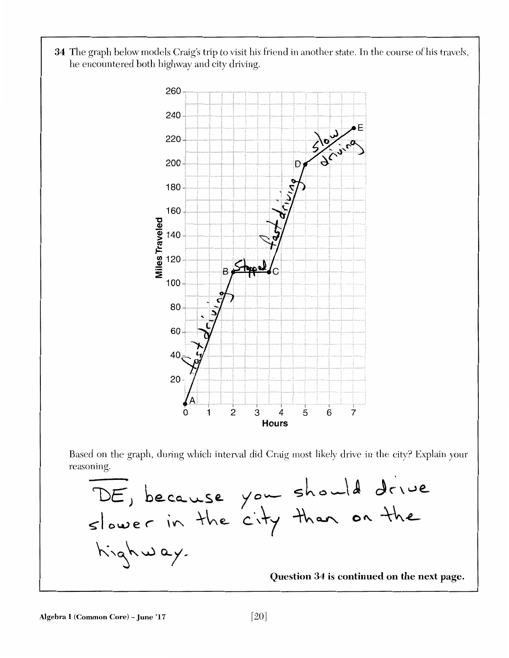34 The graph below models Craig's trip to visit his friend in another state. In the course of his travels, he encountered both highway and city driving.



Based on the graph, during which interval did Craig most likely drive in the city? Explain your reasoning.

'DE, because slower in the  $kinghw$ ay. you should drive *city* than on the Question 34 is continued on the next page.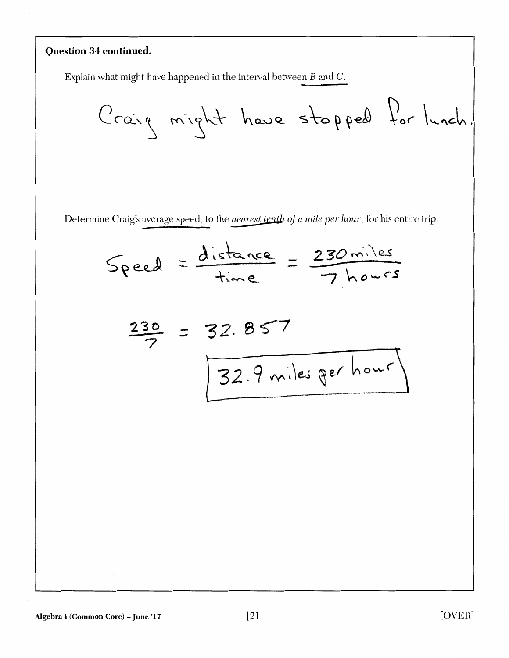# **Question 34 continued.**

Explain what might have happened in the interval between  $B$  and  $C$ .

Determine Craig's average speed, to the *nearest tenth of a mile per hour*, for his entire trip.

$$
Speed = \frac{distance}{time} = \frac{230 \text{ miles}}{7 \text{ hours}}
$$
\n
$$
\frac{230}{7} = 32.857
$$
\n
$$
\boxed{32.9 \text{ miles per hour}}
$$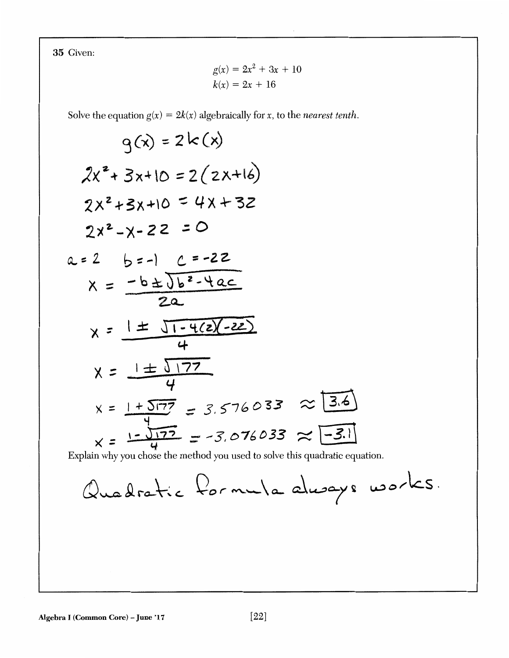35 Given:

$$
g(x) = 2x2 + 3x + 10
$$

$$
k(x) = 2x + 16
$$

Solve the equation  $g(x) = 2k(x)$  algebraically for x, to the *nearest tenth*.

$$
g(x) = 2k(x)
$$
  
\n $2x^{2} + 3x + 10 = 2(2x+16)$   
\n $2x^{2} + 3x + 10 = 4x + 32$   
\n $2x^{2} - x - 22 = 0$   
\n $a = 2$   $b = -1$   $c = -22$   
\n $x = \frac{-b \pm \sqrt{b^{2} - 4ac}}{2a}$   
\n $x = \frac{1 \pm \sqrt{1 - 4(2)} - 22}{4}$   
\n $x = \frac{1 \pm \sqrt{177}}{4}$   
\n $x = \frac{1 + \sqrt{177}}{4} = 3.576033 \approx \boxed{3.6}$   
\n $x = \frac{1 - \sqrt{177}}{4} = -3.076033 \approx \boxed{-3.1}$   
\nExplain why you chose the method you used to solve this quadratic equation.  
\n $Q_{max} = \frac{Q_{max}}{Q_{max}}$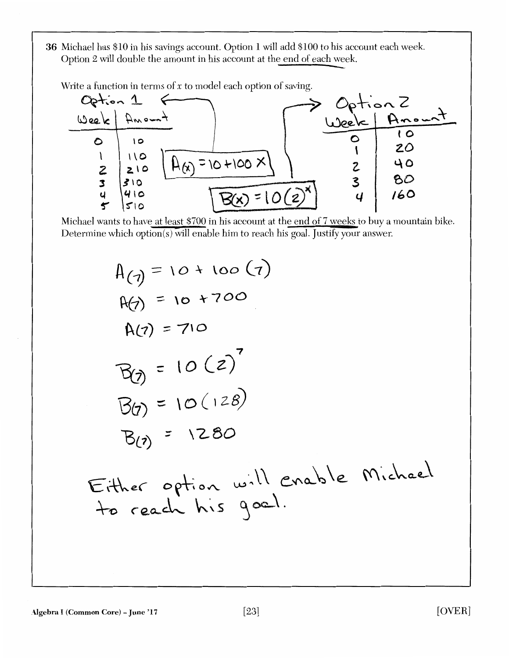36 Michael has \$10 in his savings account. Option 1 will add \$100 to his account each week Option 2 will double the amount in his account at the end of each week

Write a function in terms of *x* to model each option of saving.



Michael wants to have at least \$700 in his account at the end of 7 weeks to buy a mountain bike. Determine which option(s) will enable him to reach his goal. Justify your answer.

$$
A(q) = 10 + 100 (7)
$$
\n
$$
A(q) = 10 + 700
$$
\n
$$
A(q) = 710
$$
\n
$$
B(q) = 10(2)^7
$$
\n
$$
B(q) = 10(128)
$$
\n
$$
B(q) = 1280
$$
\nEither option will enable  
to reach his goal.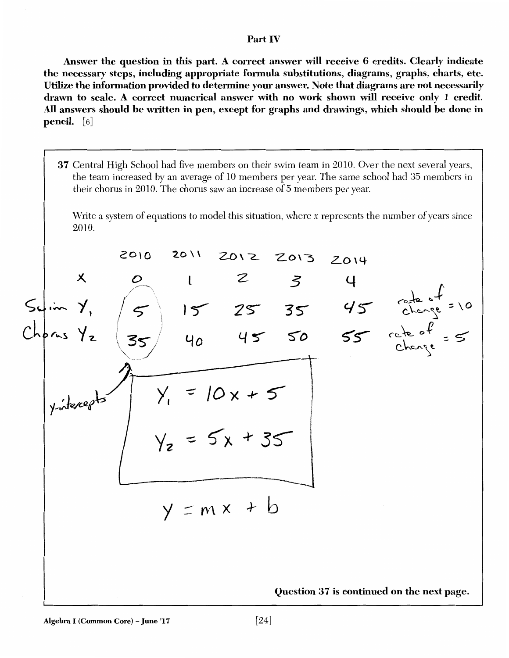#### Part IV

Answer the question in this part. A correct answer will receive 6 credits. Clearly indicate the necessary steps, including appropriate formula substitutions, diagrams, graphs, charts, etc. Utilize the information provided to determine your answer. Note that diagrams are not necessarily drawn to scale. A correct numerical answer with no work shown will receive only I credit. All answers should be written in pen, except for graphs and drawings, which should he done in pencil. [6]

37 Central High School had five members on their swim team in 2010. Over the next several years, the team increased by an average of 10 members per year. The same school had 35 members in their chorus in 2010. The chorus saw an increase of 5 members per year.

Write a system of equations to model this situation, where *x* represents the number of years since 2010.